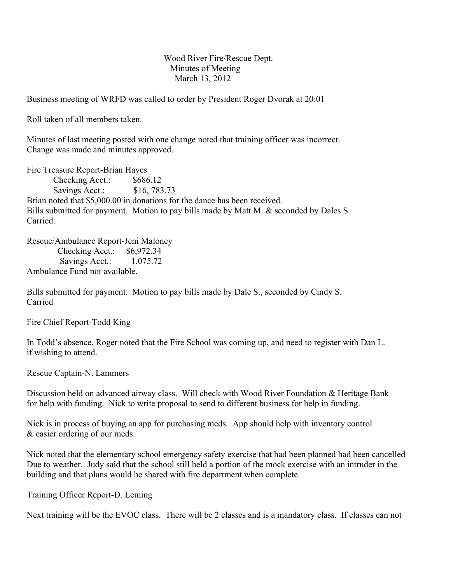Wood River Fire/Rescue Dept. Minutes of Meeting March 13, 2012

Business meeting of WRFD was called to order by President Roger Dvorak at 20:01

Roll taken of all members taken.

Minutes of last meeting posted with one change noted that training officer was incorrect. Change was made and minutes approved.

Fire Treasure Report-Brian Hayes Checking Acct.: \$686.12 Savings Acct.: \$16, 783.73 Brian noted that \$5,000.00 in donations for the dance has been received. Bills submitted for payment. Motion to pay bills made by Matt M. & seconded by Dales S. **Carried** 

Rescue/Ambulance Report-Jeni Maloney Checking Acct.: \$6,972.34 Savings Acct.: 1,075.72 Ambulance Fund not available.

Bills submitted for payment. Motion to pay bills made by Dale S., seconded by Cindy S. Carried

Fire Chief Report-Todd King

In Todd's absence, Roger noted that the Fire School was coming up, and need to register with Dan L. if wishing to attend.

Rescue Captain-N. Lammers

Discussion held on advanced airway class. Will check with Wood River Foundation & Heritage Bank for help with funding. Nick to write proposal to send to different business for help in funding.

Nick is in process of buying an app for purchasing meds. App should help with inventory control & easier ordering of our meds.

Nick noted that the elementary school emergency safety exercise that had been planned had been cancelled Due to weather. Judy said that the school still held a portion of the mock exercise with an intruder in the building and that plans would be shared with fire department when complete.

Training Officer Report-D. Leming

Next training will be the EVOC class. There will be 2 classes and is a mandatory class. If classes can not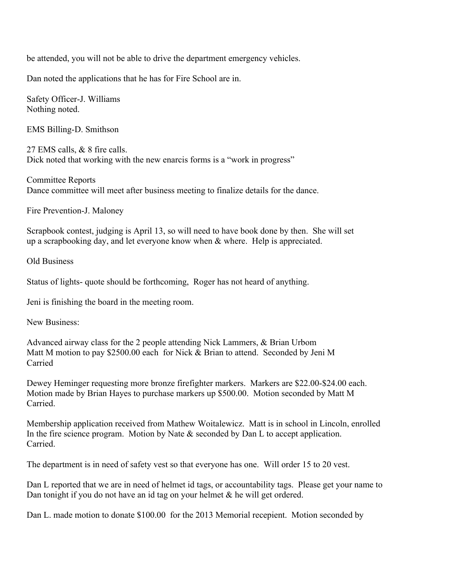be attended, you will not be able to drive the department emergency vehicles.

Dan noted the applications that he has for Fire School are in.

Safety Officer-J. Williams Nothing noted.

EMS Billing-D. Smithson

27 EMS calls, & 8 fire calls. Dick noted that working with the new enarcis forms is a "work in progress"

Committee Reports Dance committee will meet after business meeting to finalize details for the dance.

Fire Prevention-J. Maloney

Scrapbook contest, judging is April 13, so will need to have book done by then. She will set up a scrapbooking day, and let everyone know when & where. Help is appreciated.

Old Business

Status of lights- quote should be forthcoming, Roger has not heard of anything.

Jeni is finishing the board in the meeting room.

New Business:

Advanced airway class for the 2 people attending Nick Lammers, & Brian Urbom Matt M motion to pay \$2500.00 each for Nick & Brian to attend. Seconded by Jeni M Carried

Dewey Heminger requesting more bronze firefighter markers. Markers are \$22.00-\$24.00 each. Motion made by Brian Hayes to purchase markers up \$500.00. Motion seconded by Matt M **Carried** 

Membership application received from Mathew Woitalewicz. Matt is in school in Lincoln, enrolled In the fire science program. Motion by Nate & seconded by Dan L to accept application. Carried.

The department is in need of safety vest so that everyone has one. Will order 15 to 20 vest.

Dan L reported that we are in need of helmet id tags, or accountability tags. Please get your name to Dan tonight if you do not have an id tag on your helmet  $\&$  he will get ordered.

Dan L. made motion to donate \$100.00 for the 2013 Memorial recepient. Motion seconded by